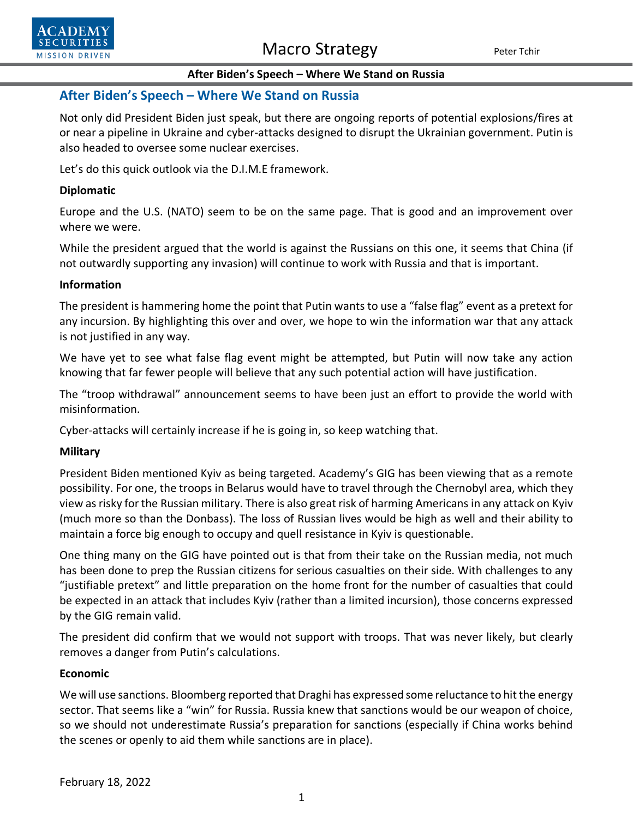



# **After Biden's Speech – Where We Stand on Russia**

Not only did President Biden just speak, but there are ongoing reports of potential explosions/fires at or near a pipeline in Ukraine and cyber-attacks designed to disrupt the Ukrainian government. Putin is also headed to oversee some nuclear exercises.

Let's do this quick outlook via the D.I.M.E framework.

## **Diplomatic**

**SECURITIES MISSION DRIVEN** 

> Europe and the U.S. (NATO) seem to be on the same page. That is good and an improvement over where we were.

> While the president argued that the world is against the Russians on this one, it seems that China (if not outwardly supporting any invasion) will continue to work with Russia and that is important.

### **Information**

The president is hammering home the point that Putin wants to use a "false flag" event as a pretext for any incursion. By highlighting this over and over, we hope to win the information war that any attack is not justified in any way.

We have yet to see what false flag event might be attempted, but Putin will now take any action knowing that far fewer people will believe that any such potential action will have justification.

The "troop withdrawal" announcement seems to have been just an effort to provide the world with misinformation.

Cyber-attacks will certainly increase if he is going in, so keep watching that.

### **Military**

President Biden mentioned Kyiv as being targeted. Academy's GIG has been viewing that as a remote possibility. For one, the troops in Belarus would have to travel through the Chernobyl area, which they view as risky for the Russian military. There is also great risk of harming Americans in any attack on Kyiv (much more so than the Donbass). The loss of Russian lives would be high as well and their ability to maintain a force big enough to occupy and quell resistance in Kyiv is questionable.

One thing many on the GIG have pointed out is that from their take on the Russian media, not much has been done to prep the Russian citizens for serious casualties on their side. With challenges to any "justifiable pretext" and little preparation on the home front for the number of casualties that could be expected in an attack that includes Kyiv (rather than a limited incursion), those concerns expressed by the GIG remain valid.

The president did confirm that we would not support with troops. That was never likely, but clearly removes a danger from Putin's calculations.

### **Economic**

We will use sanctions. Bloomberg reported that Draghi has expressed some reluctance to hit the energy sector. That seems like a "win" for Russia. Russia knew that sanctions would be our weapon of choice, so we should not underestimate Russia's preparation for sanctions (especially if China works behind the scenes or openly to aid them while sanctions are in place).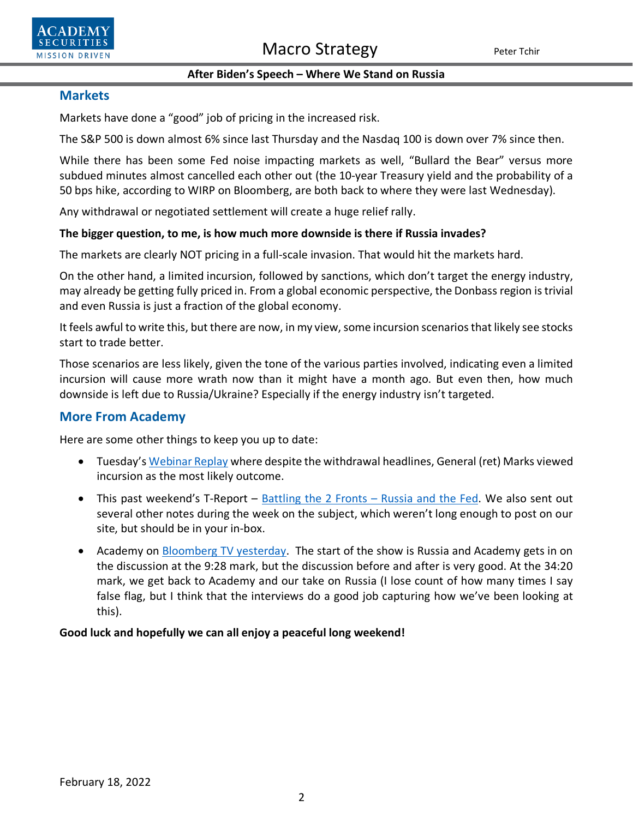



## **After Biden's Speech – Where We Stand on Russia**

# **Markets**

Markets have done a "good" job of pricing in the increased risk.

The S&P 500 is down almost 6% since last Thursday and the Nasdaq 100 is down over 7% since then.

While there has been some Fed noise impacting markets as well, "Bullard the Bear" versus more subdued minutes almost cancelled each other out (the 10-year Treasury yield and the probability of a 50 bps hike, according to WIRP on Bloomberg, are both back to where they were last Wednesday).

Any withdrawal or negotiated settlement will create a huge relief rally.

# **The bigger question, to me, is how much more downside is there if Russia invades?**

The markets are clearly NOT pricing in a full-scale invasion. That would hit the markets hard.

On the other hand, a limited incursion, followed by sanctions, which don't target the energy industry, may already be getting fully priced in. From a global economic perspective, the Donbass region is trivial and even Russia is just a fraction of the global economy.

It feels awful to write this, but there are now, in my view, some incursion scenarios that likely see stocks start to trade better.

Those scenarios are less likely, given the tone of the various parties involved, indicating even a limited incursion will cause more wrath now than it might have a month ago. But even then, how much downside is left due to Russia/Ukraine? Especially if the energy industry isn't targeted.

# **More From Academy**

Here are some other things to keep you up to date:

- Tuesday's [Webinar Replay](https://www.youtube.com/watch?v=ordQWJwPTvs) where despite the withdrawal headlines, General (ret) Marks viewed incursion as the most likely outcome.
- This past weekend's T-Report [Battling the 2 Fronts –](https://www.academysecurities.com/macro-strategy-insights/) Russia and the Fed. We also sent out several other notes during the week on the subject, which weren't long enough to post on our site, but should be in your in-box.
- Academy on [Bloomberg TV yesterday.](https://outlook.office.com/mail/sentitems/id/AAQkAGJjZWMwMGZkLTMxY2ItNGY3YS04NTU2LTZlNzQzODIwMTk4NwAQAPbmmnZfuadEjAaDIZX%2B0Ks%3D) The start of the show is Russia and Academy gets in on the discussion at the 9:28 mark, but the discussion before and after is very good. At the 34:20 mark, we get back to Academy and our take on Russia (I lose count of how many times I say false flag, but I think that the interviews do a good job capturing how we've been looking at this).

# **Good luck and hopefully we can all enjoy a peaceful long weekend!**